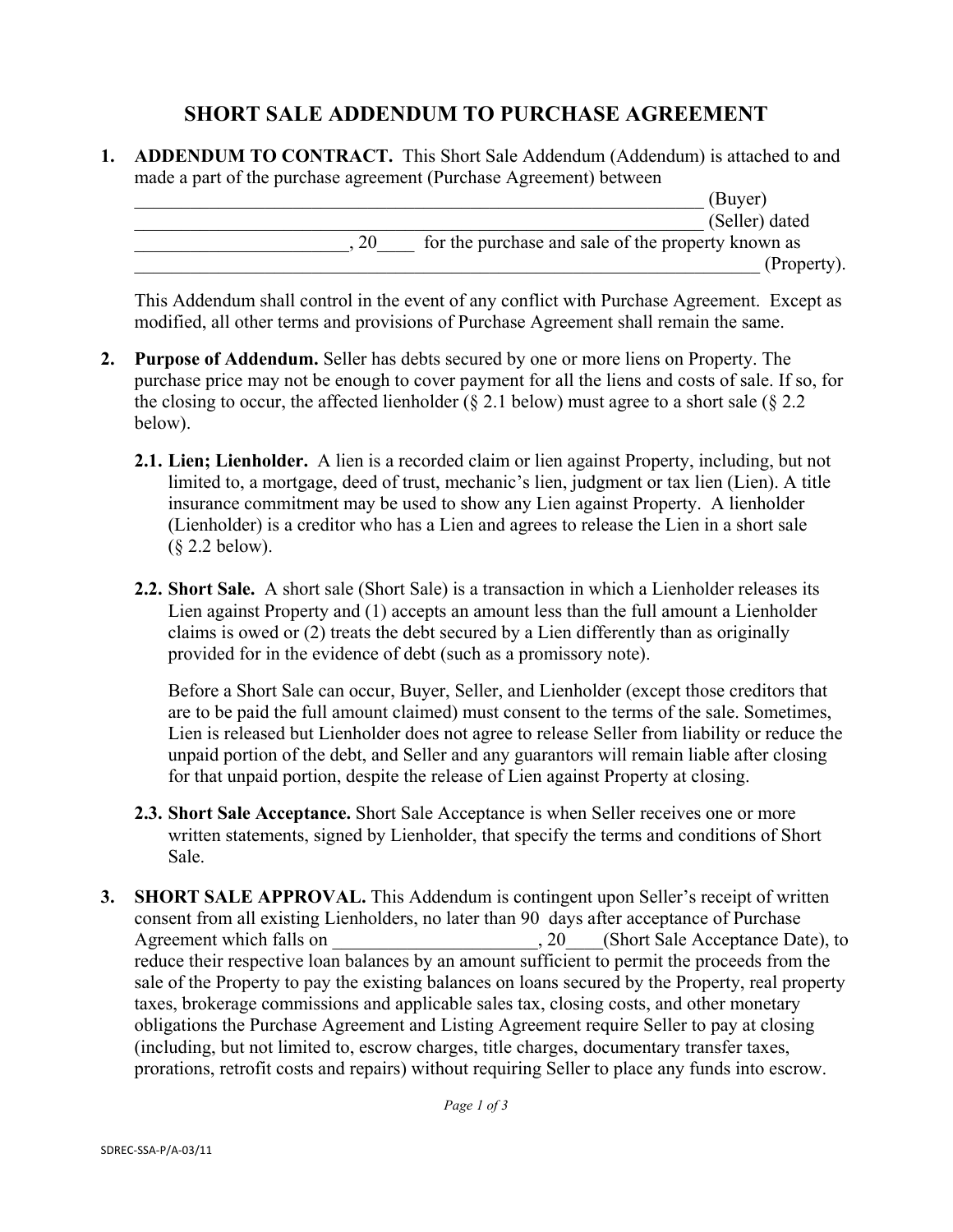## **SHORT SALE ADDENDUM TO PURCHASE AGREEMENT**

**1. ADDENDUM TO CONTRACT.** This Short Sale Addendum (Addendum) is attached to and made a part of the purchase agreement (Purchase Agreement) between

|    | (Buyer)                                            |
|----|----------------------------------------------------|
|    | (Seller) dated                                     |
| 20 | for the purchase and sale of the property known as |
|    | (Property).                                        |

This Addendum shall control in the event of any conflict with Purchase Agreement. Except as modified, all other terms and provisions of Purchase Agreement shall remain the same.

- **2. Purpose of Addendum.** Seller has debts secured by one or more liens on Property. The purchase price may not be enough to cover payment for all the liens and costs of sale. If so, for the closing to occur, the affected lienholder ( $\S$  2.1 below) must agree to a short sale ( $\S$  2.2 below).
	- **2.1. Lien; Lienholder.** A lien is a recorded claim or lien against Property, including, but not limited to, a mortgage, deed of trust, mechanic's lien, judgment or tax lien (Lien). A title insurance commitment may be used to show any Lien against Property. A lienholder (Lienholder) is a creditor who has a Lien and agrees to release the Lien in a short sale (§ 2.2 below).
	- **2.2. Short Sale.** A short sale (Short Sale) is a transaction in which a Lienholder releases its Lien against Property and (1) accepts an amount less than the full amount a Lienholder claims is owed or (2) treats the debt secured by a Lien differently than as originally provided for in the evidence of debt (such as a promissory note).

Before a Short Sale can occur, Buyer, Seller, and Lienholder (except those creditors that are to be paid the full amount claimed) must consent to the terms of the sale. Sometimes, Lien is released but Lienholder does not agree to release Seller from liability or reduce the unpaid portion of the debt, and Seller and any guarantors will remain liable after closing for that unpaid portion, despite the release of Lien against Property at closing.

- **2.3. Short Sale Acceptance.** Short Sale Acceptance is when Seller receives one or more written statements, signed by Lienholder, that specify the terms and conditions of Short Sale.
- **3. SHORT SALE APPROVAL.** This Addendum is contingent upon Seller's receipt of written consent from all existing Lienholders, no later than 90 days after acceptance of Purchase Agreement which falls on  $\qquad \qquad$  . 20. (Short Sale Acceptance Date), to reduce their respective loan balances by an amount sufficient to permit the proceeds from the sale of the Property to pay the existing balances on loans secured by the Property, real property taxes, brokerage commissions and applicable sales tax, closing costs, and other monetary obligations the Purchase Agreement and Listing Agreement require Seller to pay at closing (including, but not limited to, escrow charges, title charges, documentary transfer taxes, prorations, retrofit costs and repairs) without requiring Seller to place any funds into escrow.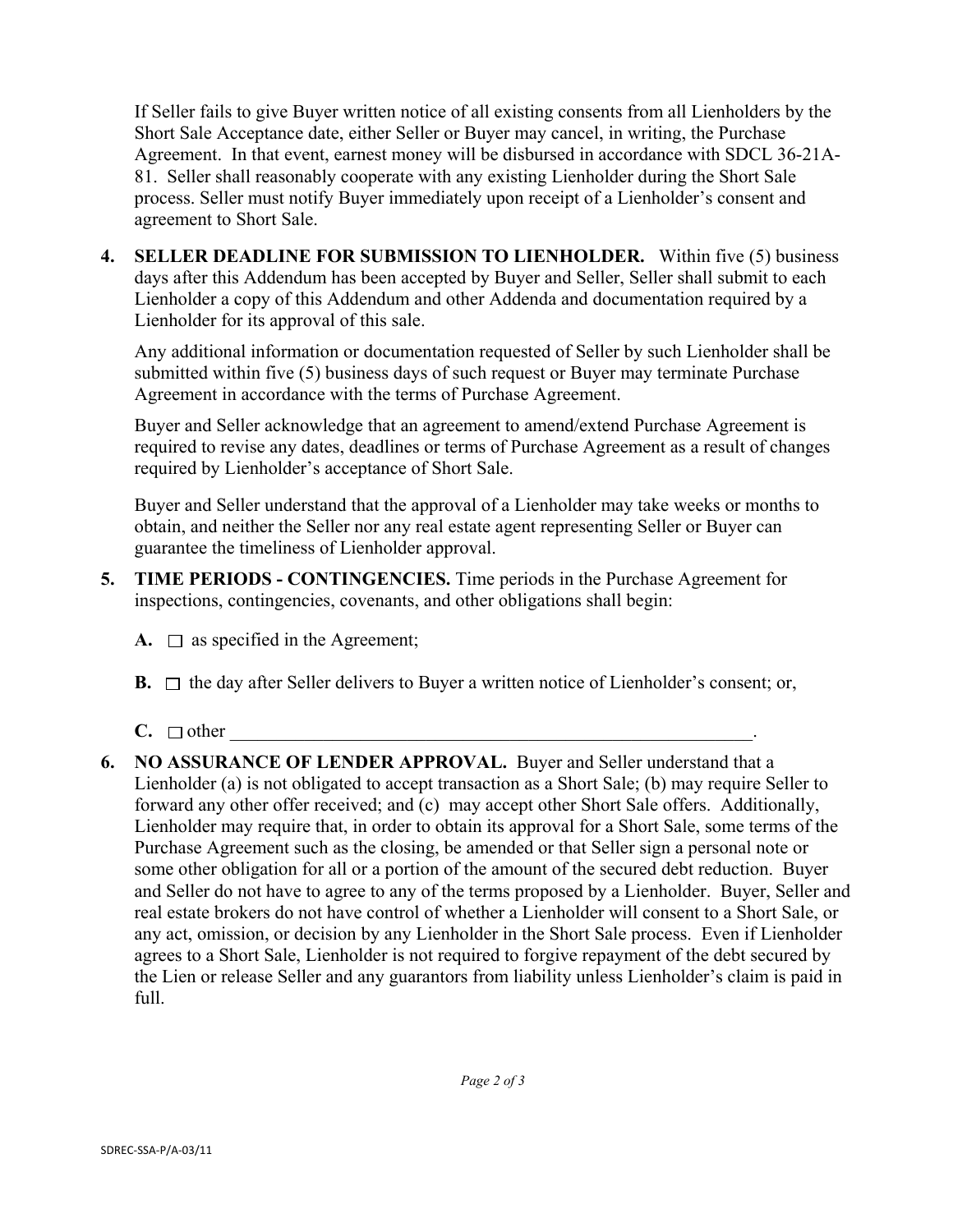If Seller fails to give Buyer written notice of all existing consents from all Lienholders by the Short Sale Acceptance date, either Seller or Buyer may cancel, in writing, the Purchase Agreement. In that event, earnest money will be disbursed in accordance with SDCL 36-21A-81. Seller shall reasonably cooperate with any existing Lienholder during the Short Sale process. Seller must notify Buyer immediately upon receipt of a Lienholder's consent and agreement to Short Sale.

**4. SELLER DEADLINE FOR SUBMISSION TO LIENHOLDER.** Within five (5) business days after this Addendum has been accepted by Buyer and Seller, Seller shall submit to each Lienholder a copy of this Addendum and other Addenda and documentation required by a Lienholder for its approval of this sale.

Any additional information or documentation requested of Seller by such Lienholder shall be submitted within five (5) business days of such request or Buyer may terminate Purchase Agreement in accordance with the terms of Purchase Agreement.

Buyer and Seller acknowledge that an agreement to amend/extend Purchase Agreement is required to revise any dates, deadlines or terms of Purchase Agreement as a result of changes required by Lienholder's acceptance of Short Sale.

Buyer and Seller understand that the approval of a Lienholder may take weeks or months to obtain, and neither the Seller nor any real estate agent representing Seller or Buyer can guarantee the timeliness of Lienholder approval.

- **5. TIME PERIODS CONTINGENCIES.** Time periods in the Purchase Agreement for inspections, contingencies, covenants, and other obligations shall begin:
	- **A.**  $\Box$  as specified in the Agreement;
	- **B.**  $\Box$  the day after Seller delivers to Buyer a written notice of Lienholder's consent; or,
	- $C. \square$  other
- **6. NO ASSURANCE OF LENDER APPROVAL.** Buyer and Seller understand that a Lienholder (a) is not obligated to accept transaction as a Short Sale; (b) may require Seller to forward any other offer received; and (c) may accept other Short Sale offers. Additionally, Lienholder may require that, in order to obtain its approval for a Short Sale, some terms of the Purchase Agreement such as the closing, be amended or that Seller sign a personal note or some other obligation for all or a portion of the amount of the secured debt reduction. Buyer and Seller do not have to agree to any of the terms proposed by a Lienholder. Buyer, Seller and real estate brokers do not have control of whether a Lienholder will consent to a Short Sale, or any act, omission, or decision by any Lienholder in the Short Sale process. Even if Lienholder agrees to a Short Sale, Lienholder is not required to forgive repayment of the debt secured by the Lien or release Seller and any guarantors from liability unless Lienholder's claim is paid in full.